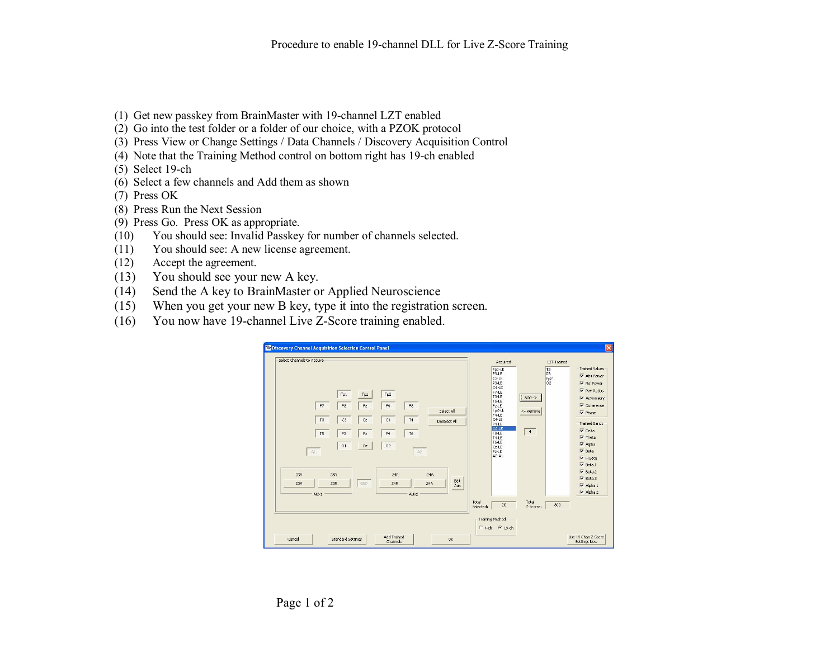- (1) Get new passkey from BrainMaster with 19-channel LZT enabled
- (2) Go into the test folder or a folder of our choice, with a PZOK protocol
- (3) Press View or Change Settings / Data Channels / Discovery Acquisition Control
- (4) Note that the Training Method control on bottom right has 19-ch enabled
- $(5)$  Select 19-ch
- (6) Select a few channels and Add them as shown
- (7) Press OK
- (8) Press Run the Next Session
- (9) Press Go. Press OK asappropriate.
- (10) You should see: Invalid Passkey for number of channels selected.
- (11) You should see: A new license agreement.
- (12) Accept the agreement.
- (13) You should see your new A key.
- (14) Send the A key to BrainMaster or Applied Neuroscience
- (15) When you get your new B key, type it into the registration screen.
- (16) You now have 19-channel Live Z-Score training enabled.

| <b>B</b> Discovery Channel Acquisition Selection Control Panel<br>Select Channels to Acquire                                                     |                                                                             | 区<br>Acquired<br><b>LZT</b> Trained<br>Trained Values<br>$Fp1-LE$<br>T <sub>3</sub><br>F3-LE<br>P <sub>3</sub><br>$\overline{\mathbf{v}}$ Abs Power<br>$Fp2$<br>$Q2$<br>C3-LE<br>$\nabla$ Rel Power<br>P3-LE                                                                                                                                                                                                                                                  |
|--------------------------------------------------------------------------------------------------------------------------------------------------|-----------------------------------------------------------------------------|---------------------------------------------------------------------------------------------------------------------------------------------------------------------------------------------------------------------------------------------------------------------------------------------------------------------------------------------------------------------------------------------------------------------------------------------------------------|
| Fp1<br>Fpz<br>F7<br>F3<br>$\mathsf{F}\mathsf{z}$<br>T <sub>3</sub><br>C3<br>C <sub>z</sub><br>T <sub>5</sub><br>P <sub>3</sub><br>Pz<br>O1<br>Oz | Fp2<br>F8<br>F4<br>Select All<br>C4<br>T4<br>Deselect All<br>T6<br>P4<br>O2 | 01-LE<br>$\nabla$ Pwr Ratios<br>F7-LE<br>T3-LE<br>$Add \rightarrow$<br>V Asymmetry<br>T5-LE<br>$\nabla$ Coherence<br>Fz-LE<br>Fp2-LE<br><-Remove<br>$\overline{\mathbf{v}}$ Phase<br>$F4-LE$<br>C4-LE<br>Trained Bands<br><b>P4-LE</b><br>02-LE<br>$\overline{\mathbf{v}}$ Delta<br>4<br>F8-LE<br>$\overline{\mathsf{v}}$ Theta<br>T4-LE<br>T6-LE<br>$\overline{\mathbf{v}}$ Alpha<br>C <sub>2</sub> -LE<br>$\overline{\mathbf{v}}$ Beta<br>P <sub>2-LE</sub> |
| A1<br>23A<br>23R<br>23R<br>GND<br>23A<br>AUX1                                                                                                    | A2<br>24R<br>24A<br>Edit<br>24R<br>24A<br>Aux<br>AUX2                       | A2-A1<br>$\nabla$ H Beta<br>$\overline{\mathbf{v}}$ Beta 1<br>$\overline{\mathbf{v}}$ Beta 2<br>$\overline{\mathbf{v}}$ Beta 3<br>$\overline{\vee}$ Alpha 1<br>$\overline{\vee}$ Alpha 2<br>Total<br>Total<br>20<br>300<br>Selected:<br>Z-Scores:                                                                                                                                                                                                             |
| Cancel<br><b>Standard Settings</b>                                                                                                               | <b>Add Trained</b><br><b>OK</b><br>Channels                                 | Training Method<br>$6$ 19-ch<br>$C$ 4-ch<br>Use 19 Chan Z-Score<br>Settings Now                                                                                                                                                                                                                                                                                                                                                                               |